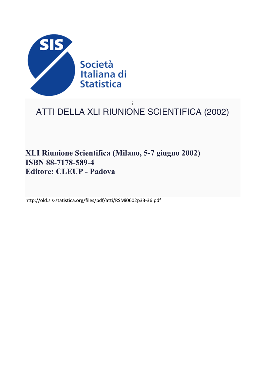

## ì ATTI DELLA XLI RIUNIONE SCIENTIFICA (2002)

# **XLI Riunione Scientifica (Milano, 5-7 giugno 2002) ISBN 88-7178-589-4 Editore: CLEUP - Padova**

http://old.sis-statistica.org/files/pdf/atti/RSMi0602p33-36.pdf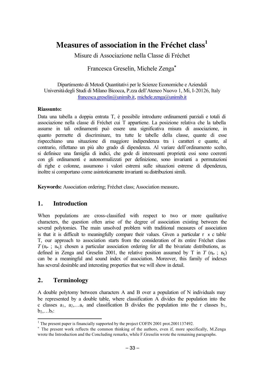# **Measures of association in the Fréchet class<sup>1</sup>**

Misure di Associazione nella Classe di Fréchet

### Francesca Greselin, Michele Zenga∗∗

Dipartimento di Metodi Quantitativi per le Scienze Economiche e Aziendali Università degli Studi di Milano Bicocca, P.zza dell'Ateneo Nuovo 1, Mi, I-20126, Italy francesca.greselin@unimib.it, michele.zenga@unimib.it

#### **Riassunto:**

Data una tabella a doppia entrata T, è possibile introdurre ordinamenti parziali e totali di associazione nella classe di Fréchet cui T appartiene. La posizione relativa che la tabella assume in tali ordinamenti può essere una significativa misura di associazione, in quanto permette di discriminare, tra tutte le tabelle della classe, quante di esse rispecchiano una situazione di maggiore indipendenza tra i caratteri e quante, al contrario, riflettano un più alto grado di dipendenza. Al variare dell'ordinamento scelto, si definisce una famiglia di indici, che gode di interessanti proprietà: essi sono coerenti con gli ordinamenti e autonormalizzati per definizione, sono invarianti a permutazioni di righe e colonne, assumono i valori estremi sulle situazioni estreme di dipendenza, inoltre si comportano come asintoticamente invarianti su distribuzioni simili.

**Keywords:** Association ordering; Fréchet class; Association measure**.** 

#### **1. Introduction**

When populations are cross-classified with respect to two or more qualitative characters, the question often arise of the degree of association existing between the several polytomies. The main unsolved problem with traditional measures of association is that it is difficult to meaningfully compare their values. Given a particular r x c table T, our approach to association starts from the consideration of its entire Fréchet class  $T(\mathbf{n}_i : \mathbf{n}_i)$ : chosen a particular association ordering for all the bivariate distributions, as defined in Zenga and Greselin 2001, the relative position assumed by T in  $T$  (n<sub>i</sub>•; n<sub>i</sub>) can be a meaningful and sound index of association. Moreover, this family of indexes has several desirable and interesting properties that we will show in detail.

### **2. Terminology**

A double polytomy between characters A and B over a population of N individuals may be represented by a double table, where classification A divides the population into the c classes  $a_1, a_2, \ldots, a_n$  and classification B divides the population into the r classes  $b_1$ ,  $b_2, \ldots b_r$ :

 $\frac{1}{1}$  $1$ . The present paper is financially supported by the project COFIN 2001 prot. 2001 137492.

<sup>∗</sup> The present work reflects the common thinking of the authors, even if, more specifically, M.Zenga wrote the Introduction and the Concluding remarks, while F.Greselin wrote the remaining paragraphs.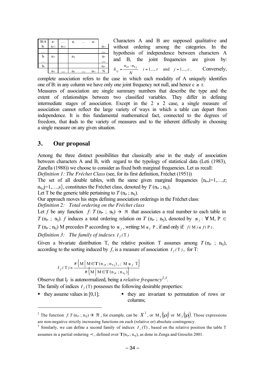| $B \setminus A$       | a <sub>1</sub> |          | ai                         |             | $ac \t -$            | Characters A and B are supposed qualitative and                                                       |  |  |  |  |
|-----------------------|----------------|----------|----------------------------|-------------|----------------------|-------------------------------------------------------------------------------------------------------|--|--|--|--|
| b <sub>1</sub>        | $n_{11}$       | $n_{12}$ |                            |             | $n_1$ .              | without ordering among the categories. In the                                                         |  |  |  |  |
|                       |                |          |                            |             | $\cdots$             | hypothesis of independence between characters A                                                       |  |  |  |  |
| bi<br>$\cdot$ $\cdot$ | $n_{i1}$       |          | $\mathbf{n}$ <sub>ij</sub> |             | $n_i$ .<br>$\ddotsc$ | and B, the joint frequencies are given by:                                                            |  |  |  |  |
| $\mathbf{b}$ r        |                |          |                            |             | $n_{\rm r}$          |                                                                                                       |  |  |  |  |
|                       | $n_{\cdot}$    |          |                            | $n_{\rm c}$ | $\mathbb{N}$         | $\hat{n}_{ij} = \frac{n_{i\bullet} \cdot n_{\bullet j}}{N}$ $i = 1,, r$ and $j = 1,, c$ . Conversely, |  |  |  |  |

complete association refers to the case in which each modality of A uniquely identifies one of B: in any column we have only one joint frequency not null, and hence  $c \ge r$ .

Measures of association are single summary numbers that describe the type and the extent of relationships between two classified variables. They differ in defining intermediate stages of association. Except in the 2 x 2 case, a single measure of association cannot reflect the large variety of ways in which a table can depart from independence. It is this fundamental mathematical fact, connected to the degrees of freedom, that leads to the variety of measures and to the inherent difficulty in choosing a single measure on any given situation.

#### **3. Our proposal**

l

Among the three distinct possibilities that classically arise in the study of association between characters A and B, with regard to the typology of statistical data (Leti (1983), Zanella (1988)) we choose to consider as fixed both marginal frequencies. Let us recall:

*Definition 1: The Fréchet Class* (see, for its first definition, Fréchet (1951))

The set of all double tables, with the same given marginal frequencies  $\{n_i, i=1,\ldots,r;$  $n_{\text{e}}$ ,j=1,...,s}, constitutes the Fréchet class, denoted by  $T$  ( $n_{\text{e}}$ ;  $n_{\text{e}}$ ).

Let T be the generic table pertaining to  $T(n_i, n_i)$ .

Our approach moves his steps defining association orderings in the Fréchet class:

*Definition 2: Total ordering on the Fréchet class*

Let *f* be any function *f*:  $T(n_i, j, n_j) \rightarrow \Re$  that associates a real number to each table in *T* (n<sub>i</sub>• ; n<sub>j</sub>). *f* induces a total ordering relation on *T* (n<sub>i</sub>• ; n<sub>j</sub>), denoted by  $\leq_f$  :  $\forall$  M, P  $\in$ *T* ( $n_i$ , ;  $n_{i}$ ) M precedes P according to  $\leq f$ , writing:  $M \leq f$  P, if and only if:  $f(M) \leq f(P)$ .

*Definition 3: The family of indexes*  $I_f(T)$ 

Given a bivariate distribution T, the relative position T assumes among  $T$  (n<sub>i</sub>, ; n<sub>i</sub>), according to the sorting induced by *f*, is a measure of association  $I_f(T)$ , for T:

$$
I_f(\mathbf{T}) = \frac{\#\left\{\mathbf{M} \mid \mathbf{M} \in \mathbf{T}(\mathbf{n_i, \cdot, n_{\star j})}_{\prec}, \mathbf{M} \leq f \mathbf{T} \right\}}{\#\left\{\mathbf{M} \mid \mathbf{M} \in \mathbf{T}(\mathbf{n_i, \cdot, n_{\star j}})\right\}}
$$

Observe that  $I_f$  is autonormalized, being a *relative frequency*<sup>2,3</sup>. The family of indices  $I_f(T)$  possesses the following desirable properties:

 $\bullet$  they assume values in [0,1];  $\bullet$  they are invariant to permutation of rows or columns;

<sup>&</sup>lt;sup>2</sup> The function *f*: *T* (n<sub>i</sub>, ; n<sub>j</sub>)  $\rightarrow$   $\Re$  , for example, can be  $X^2$ , or  $M_1(\rho)$  or  $M_2(\rho)$ . Those expressions are non-negative strictly increasing functions on each (relative or) absolute contingency.

<sup>&</sup>lt;sup>3</sup> Similarly, we can define a second family of indices  $I_1(T)$ , based on the relative position the table T assumes in a partial ordering  $\prec$ , defined over  $T(n_i, n_j)$ , as done in Zenga and Greselin 2001.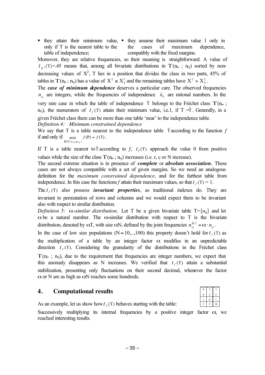• they attain their minimum value, • they assume their maximum value 1 only in only if T is the nearest table to the table of independence; the cases of maximum dependence, compatibly with the fixed margins.

Moreover, they are relative frequencies, so their meaning is straightforward. A value of  $I_{x^2}(T) = .45$  means that, among all bivariate distributions in  $T(n_i, ; n_i)$  sorted by nondecreasing values of  $X^2$ , T lies in a position that divides the class in two parts, 45% of tables in  $T(n_i, n_j)$  has a value of  $X^2 \le X^2$  and the remaining tables have  $X^2 > X^2$ .

The *case of minimum dependence* deserves a particular care. The observed frequencies  $n_{ii}$  are integers, while the frequencies of independence  $\hat{n}_{ii}$  are rational numbers. In the very rare case in which the table of independence  $\hat{\tau}$  belongs to the Fréchet class  $T(n_i, j)$ n<sub>•j</sub>), the numerators of  $I_f(T)$  attain their minimum value, i.e.1, if  $T = \hat{T}$ . Generally, in a given Fréchet class there can be more than one table 'near' to the independence table.

*Definition 4: Minimum constrained dependence*

We say that T is a table nearest to the independence table  $\hat{T}$  according to the function  $f$ if and only if:  $min$   $f(P) = f(T)$  $\lim_{\text{P} \in T(\text{n}_i, \text{n}_i)} f(\text{P}) = f$  $\in$   $T($  n<sub>i</sub>, ;n  $\cdot$ .

If T is a table nearest to  $\hat{T}$  according to  $f$ ,  $I_f(T)$  approach the value 0 from positive values while the size of the class  $T(n_i, n_i)$  increases (i.e. r, c or N increase).

The second extreme situation is in presence of *complete* or *absolute association.* These cases are not always compatible with a set of given margins. So we need an analogous definition for the *maximum constrained dependence,* and for the farthest table from independence. In this case the functions *f* attain their maximum values, so that  $I_f(T) = 1$ .

The  $I_f(T)$  also possess *invariant properties*, as traditional indexes do. They are invariant to permutation of rows and columns and we would expect them to be invariant also with respect to similar distribution.

*Definition 5:*  $\alpha$ -*similar distribution.* Let T be a given bivariate table T={ $n_{ij}$ } and let  $\alpha$  be a natural number. The  $\alpha$ -similar distribution with respect to T is the bivariate distribution, denoted by  $\alpha T$ , with size  $\alpha N$ , defined by the joint frequencies  $n_{ii}^{(\alpha)} = \alpha \cdot n_{ii}$ .

In the case of low size populations ( $N \approx 10,...,100$ ) this property doesn't hold for  $I_f(T)$  as the multiplication of a table by an integer factor  $\alpha$  modifies in an unpredictable direction  $I_f(T)$ . Considering the granularity of the distributions in the Fréchet class

 $T(n_i, n_i)$ , due to the requirement that frequencies are integer numbers, we expect that this anomaly disappears as N increases. We verified that  $I_f(T)$  attain a substantial stabilization, presenting only fluctuations on their second decimal, whenever the factor  $\alpha$  or N are as high as  $\alpha$ N reaches some hundreds.

#### **4. Computational results**

As an example, let us show how  $I_f(T)$  behaves starting with the table:

Successively multiplying its internal frequencies by a positive integer factor  $\alpha$ , we reached interesting results.